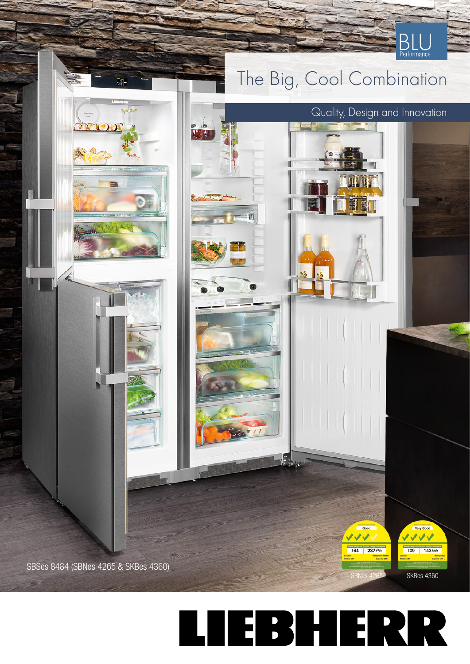

## **TEBHERR**  $\overline{\phantom{0}}$